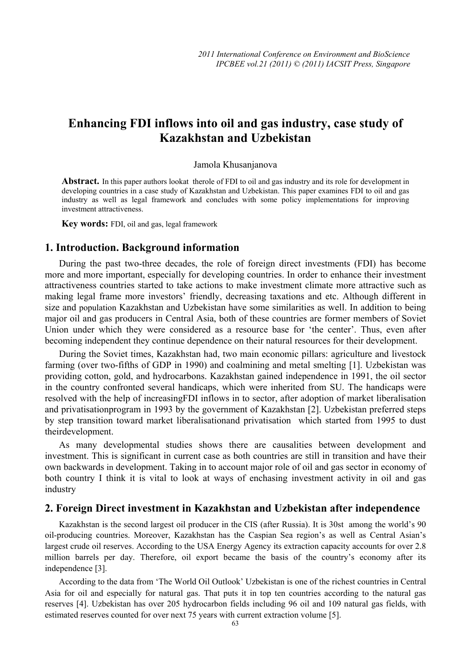# **Enhancing FDI inflows into oil and gas industry, case study of Kazakhstan and Uzbekistan**

### Jamola Khusanjanova

**Abstract.** In this paper authors lookat therole of FDI to oil and gas industry and its role for development in developing countries in a case study of Kazakhstan and Uzbekistan. This paper examines FDI to oil and gas industry as well as legal framework and concludes with some policy implementations for improving investment attractiveness.

**Key words:** FDI, oil and gas, legal framework

### **1. Introduction. Background information**

During the past two-three decades, the role of foreign direct investments (FDI) has become more and more important, especially for developing countries. In order to enhance their investment attractiveness countries started to take actions to make investment climate more attractive such as making legal frame more investors' friendly, decreasing taxations and etc. Although different in size and population Kazakhstan and Uzbekistan have some similarities as well. In addition to being major oil and gas producers in Central Asia, both of these countries are former members of Soviet Union under which they were considered as a resource base for 'the center'. Thus, even after becoming independent they continue dependence on their natural resources for their development.

During the Soviet times, Kazakhstan had, two main economic pillars: agriculture and livestock farming (over two-fifths of GDP in 1990) and coalmining and metal smelting [1]. Uzbekistan was providing cotton, gold, and hydrocarbons. Kazakhstan gained independence in 1991, the oil sector in the country confronted several handicaps, which were inherited from SU. The handicaps were resolved with the help of increasingFDI inflows in to sector, after adoption of market liberalisation and privatisationprogram in 1993 by the government of Kazakhstan [2]. Uzbekistan preferred steps by step transition toward market liberalisationand privatisation which started from 1995 to dust theirdevelopment.

As many developmental studies shows there are causalities between development and investment. This is significant in current case as both countries are still in transition and have their own backwards in development. Taking in to account major role of oil and gas sector in economy of both country I think it is vital to look at ways of enchasing investment activity in oil and gas industry

# **2. Foreign Direct investment in Kazakhstan and Uzbekistan after independence**

Kazakhstan is the second largest oil producer in the CIS (after Russia). It is 30st among the world's 90 oil-producing countries. Moreover, Kazakhstan has the Caspian Sea region's as well as Central Asian's largest crude oil reserves. According to the USA Energy Agency its extraction capacity accounts for over 2.8 million barrels per day. Therefore, oil export became the basis of the country's economy after its independence [3].

According to the data from 'The World Oil Outlook' Uzbekistan is one of the richest countries in Central Asia for oil and especially for natural gas. That puts it in top ten countries according to the natural gas reserves [4]. Uzbekistan has over 205 hydrocarbon fields including 96 oil and 109 natural gas fields, with estimated reserves counted for over next 75 years with current extraction volume [5].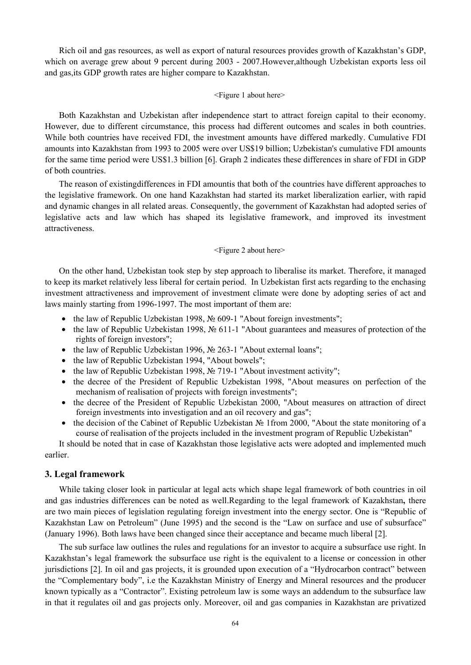Rich oil and gas resources, as well as export of natural resources provides growth of Kazakhstan's GDP, which on average grew about 9 percent during 2003 - 2007.However,although Uzbekistan exports less oil and gas,its GDP growth rates are higher compare to Kazakhstan.

#### <Figure 1 about here>

Both Kazakhstan and Uzbekistan after independence start to attract foreign capital to their economy. However, due to different circumstance, this process had different outcomes and scales in both countries. While both countries have received FDI, the investment amounts have differed markedly. Cumulative FDI amounts into Kazakhstan from 1993 to 2005 were over US\$19 billion; Uzbekistan's cumulative FDI amounts for the same time period were US\$1.3 billion [6]. Graph 2 indicates these differences in share of FDI in GDP of both countries.

The reason of existingdifferences in FDI amountis that both of the countries have different approaches to the legislative framework. On one hand Kazakhstan had started its market liberalization earlier, with rapid and dynamic changes in all related areas. Consequently, the government of Kazakhstan had adopted series of legislative acts and law which has shaped its legislative framework, and improved its investment attractiveness.

### <Figure 2 about here>

On the other hand, Uzbekistan took step by step approach to liberalise its market. Therefore, it managed to keep its market relatively less liberal for certain period. In Uzbekistan first acts regarding to the enchasing investment attractiveness and improvement of investment climate were done by adopting series of act and laws mainly starting from 1996-1997. The most important of them are:

- the law of Republic Uzbekistan 1998, № 609-1 "About foreign investments";
- the law of Republic Uzbekistan 1998, № 611-1 "About guarantees and measures of protection of the rights of foreign investors";
- the law of Republic Uzbekistan 1996, № 263-1 "About external loans";
- the law of Republic Uzbekistan 1994, "About bowels";
- the law of Republic Uzbekistan 1998, № 719-1 "About investment activity";
- the decree of the President of Republic Uzbekistan 1998, "About measures on perfection of the mechanism of realisation of projects with foreign investments";
- the decree of the President of Republic Uzbekistan 2000. "About measures on attraction of direct foreign investments into investigation and an oil recovery and gas";
- the decision of the Cabinet of Republic Uzbekistan № 1from 2000, "About the state monitoring of a course of realisation of the projects included in the investment program of Republic Uzbekistan"

It should be noted that in case of Kazakhstan those legislative acts were adopted and implemented much earlier.

### **3. Legal framework**

While taking closer look in particular at legal acts which shape legal framework of both countries in oil and gas industries differences can be noted as well.Regarding to the legal framework of Kazakhstan**,** there are two main pieces of legislation regulating foreign investment into the energy sector. One is "Republic of Kazakhstan Law on Petroleum" (June 1995) and the second is the "Law on surface and use of subsurface" (January 1996). Both laws have been changed since their acceptance and became much liberal [2].

The sub surface law outlines the rules and regulations for an investor to acquire a subsurface use right. In Kazakhstan's legal framework the subsurface use right is the equivalent to a license or concession in other jurisdictions [2]. In oil and gas projects, it is grounded upon execution of a "Hydrocarbon contract" between the "Complementary body", i.e the Kazakhstan Ministry of Energy and Mineral resources and the producer known typically as a "Contractor". Existing petroleum law is some ways an addendum to the subsurface law in that it regulates oil and gas projects only. Moreover, oil and gas companies in Kazakhstan are privatized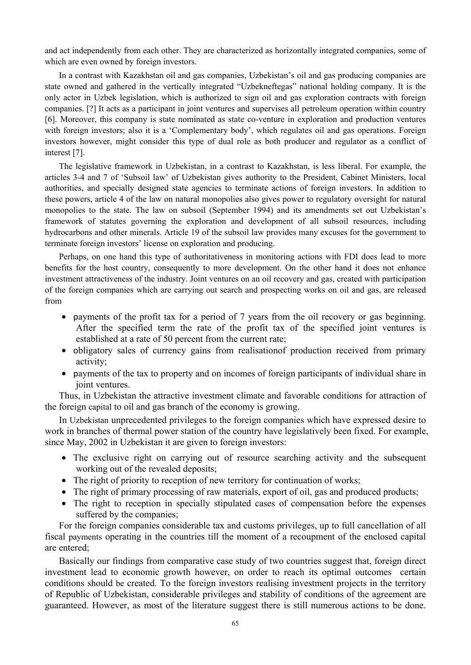and act independently from each other. They are characterized as horizontally integrated companies, some of which are even owned by foreign investors.

In a contrast with Kazakhstan oil and gas companies, Uzbekistan's oil and gas producing companies are state owned and gathered in the vertically integrated "Uzbekneftegas" national holding company. It is the only actor in Uzbek legislation, which is authorized to sign oil and gas exploration contracts with foreign companies. [?] It acts as a participant in joint ventures and supervises all petroleum operation within country [6]. Moreover, this company is state nominated as state co-venture in exploration and production ventures with foreign investors; also it is a 'Complementary body', which regulates oil and gas operations. Foreign investors however, might consider this type of dual role as both producer and regulator as a conflict of interest [7].

The legislative framework in Uzbekistan, in a contrast to Kazakhstan, is less liberal. For example, the articles 3-4 and 7 of 'Subsoil law' of Uzbekistan gives authority to the President, Cabinet Ministers, local authorities, and specially designed state agencies to terminate actions of foreign investors. In addition to these powers, article 4 of the law on natural monopolies also gives power to regulatory oversight for natural monopolies to the state. The law on subsoil (September 1994) and its amendments set out Uzbekistan's framework of statutes governing the exploration and development of all subsoil resources, including hydrocarbons and other minerals. Article 19 of the subsoil law provides many excuses for the government to terminate foreign investors' license on exploration and producing.

Perhaps, on one hand this type of authoritativeness in monitoring actions with FDI does lead to more benefits for the host country, consequently to more development. On the other hand it does not enhance investment attractiveness of the industry. Joint ventures on an oil recovery and gas, created with participation of the foreign companies which are carrying out search and prospecting works on oil and gas, are released from

- payments of the profit tax for a period of 7 years from the oil recovery or gas beginning. After the specified term the rate of the profit tax of the specified joint ventures is established at a rate of 50 percent from the current rate;
- obligatory sales of currency gains from realisation of production received from primary activity;
- payments of the tax to property and on incomes of foreign participants of individual share in joint ventures.

Thus, in Uzbekistan the attractive investment climate and favorable conditions for attraction of the foreign capital to oil and gas branch of the economy is growing.

In Uzbekistan unprecedented privileges to the foreign companies which have expressed desire to work in branches of thermal power station of the country have legislatively been fixed. For example, since May, 2002 in Uzbekistan it are given to foreign investors:

- The exclusive right on carrying out of resource searching activity and the subsequent working out of the revealed deposits;
- The right of priority to reception of new territory for continuation of works:
- The right of primary processing of raw materials, export of oil, gas and produced products;
- The right to reception in specially stipulated cases of compensation before the expenses suffered by the companies;

For the foreign companies considerable tax and customs privileges, up to full cancellation of all fiscal payments operating in the countries till the moment of a recoupment of the enclosed capital are entered;

Basically our findings from comparative case study of two countries suggest that, foreign direct investment lead to economic growth however, on order to reach its optimal outcomes certain conditions should be created. To the foreign investors realising investment projects in the territory of Republic of Uzbekistan, considerable privileges and stability of conditions of the agreement are guaranteed. However, as most of the literature suggest there is still numerous actions to be done.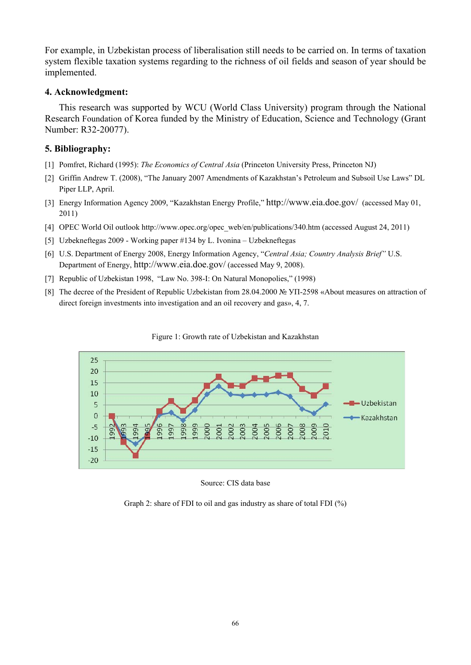For example, in Uzbekistan process of liberalisation still needs to be carried on. In terms of taxation system flexible taxation systems regarding to the richness of oil fields and season of year should be implemented.

## **4. Acknowledgment:**

This research was supported by WCU (World Class University) program through the National Research Foundation of Korea funded by the Ministry of Education, Science and Technology (Grant Number: R32-20077).

# **5. Bibliography:**

- [1] Pomfret, Richard (1995): *The Economics of Central Asia* (Princeton University Press, Princeton NJ)
- [2] Griffin Andrew T. (2008), "The January 2007 Amendments of Kazakhstan's Petroleum and Subsoil Use Laws" DL Piper LLP, April.
- [3] Energy Information Agency 2009, "Kazakhstan Energy Profile," http://www.eia.doe.gov/ (accessed May 01, 2011)
- [4] OPEC World Oil outlook http://www.opec.org/opec\_web/en/publications/340.htm (accessed August 24, 2011)
- [5] Uzbekneftegas 2009 Working paper #134 by L. Ivonina Uzbekneftegas
- [6] U.S. Department of Energy 2008, Energy Information Agency, "*Central Asia; Country Analysis Brief"* U.S. Department of Energy, http://www.eia.doe.gov/ (accessed May 9, 2008).
- [7] Republic of Uzbekistan 1998, "Law No. 398-I: On Natural Monopolies," (1998)
- [8] The decree of the President of Republic Uzbekistan from 28.04.2000 № УП-2598 «About measures on attraction of direct foreign investments into investigation and an oil recovery and gas», 4, 7.





Source: CIS data base

Graph 2: share of FDI to oil and gas industry as share of total FDI (%)